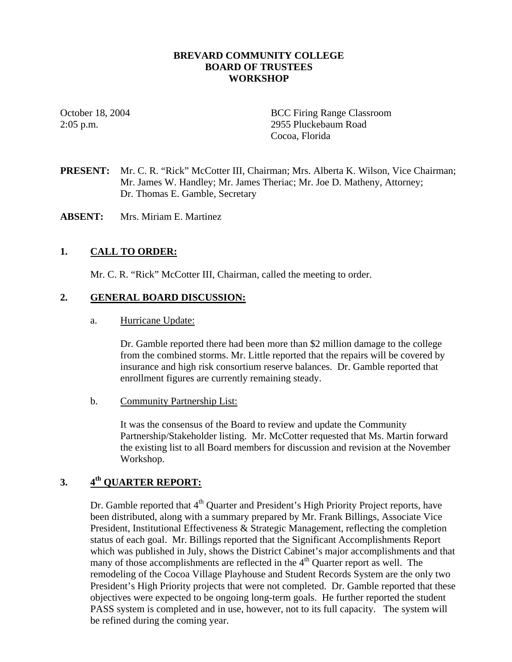#### **BREVARD COMMUNITY COLLEGE BOARD OF TRUSTEES WORKSHOP**

October 18, 2004 BCC Firing Range Classroom 2:05 p.m. 2955 Pluckebaum Road Cocoa, Florida

**PRESENT:** Mr. C. R. "Rick" McCotter III, Chairman; Mrs. Alberta K. Wilson, Vice Chairman; Mr. James W. Handley; Mr. James Theriac; Mr. Joe D. Matheny, Attorney; Dr. Thomas E. Gamble, Secretary

**ABSENT:** Mrs. Miriam E. Martinez

#### **1. CALL TO ORDER:**

Mr. C. R. "Rick" McCotter III, Chairman, called the meeting to order.

#### **2. GENERAL BOARD DISCUSSION:**

a. Hurricane Update:

Dr. Gamble reported there had been more than \$2 million damage to the college from the combined storms. Mr. Little reported that the repairs will be covered by insurance and high risk consortium reserve balances. Dr. Gamble reported that enrollment figures are currently remaining steady.

b. Community Partnership List:

It was the consensus of the Board to review and update the Community Partnership/Stakeholder listing. Mr. McCotter requested that Ms. Martin forward the existing list to all Board members for discussion and revision at the November Workshop.

## **3. 4th QUARTER REPORT:**

Dr. Gamble reported that  $4<sup>th</sup>$  Quarter and President's High Priority Project reports, have been distributed, along with a summary prepared by Mr. Frank Billings, Associate Vice President, Institutional Effectiveness & Strategic Management, reflecting the completion status of each goal. Mr. Billings reported that the Significant Accomplishments Report which was published in July, shows the District Cabinet's major accomplishments and that many of those accomplishments are reflected in the 4<sup>th</sup> Quarter report as well. The remodeling of the Cocoa Village Playhouse and Student Records System are the only two President's High Priority projects that were not completed. Dr. Gamble reported that these objectives were expected to be ongoing long-term goals. He further reported the student PASS system is completed and in use, however, not to its full capacity. The system will be refined during the coming year.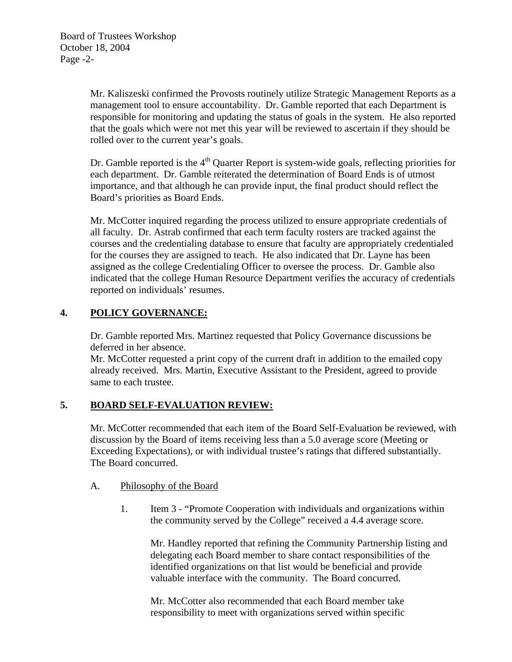Mr. Kaliszeski confirmed the Provosts routinely utilize Strategic Management Reports as a management tool to ensure accountability. Dr. Gamble reported that each Department is responsible for monitoring and updating the status of goals in the system. He also reported that the goals which were not met this year will be reviewed to ascertain if they should be rolled over to the current year's goals.

Dr. Gamble reported is the  $4<sup>th</sup>$  Quarter Report is system-wide goals, reflecting priorities for each department. Dr. Gamble reiterated the determination of Board Ends is of utmost importance, and that although he can provide input, the final product should reflect the Board's priorities as Board Ends.

Mr. McCotter inquired regarding the process utilized to ensure appropriate credentials of all faculty. Dr. Astrab confirmed that each term faculty rosters are tracked against the courses and the credentialing database to ensure that faculty are appropriately credentialed for the courses they are assigned to teach. He also indicated that Dr. Layne has been assigned as the college Credentialing Officer to oversee the process. Dr. Gamble also indicated that the college Human Resource Department verifies the accuracy of credentials reported on individuals' resumes.

# **4. POLICY GOVERNANCE:**

Dr. Gamble reported Mrs. Martinez requested that Policy Governance discussions be deferred in her absence.

Mr. McCotter requested a print copy of the current draft in addition to the emailed copy already received. Mrs. Martin, Executive Assistant to the President, agreed to provide same to each trustee.

## **5. BOARD SELF-EVALUATION REVIEW:**

Mr. McCotter recommended that each item of the Board Self-Evaluation be reviewed, with discussion by the Board of items receiving less than a 5.0 average score (Meeting or Exceeding Expectations), or with individual trustee's ratings that differed substantially. The Board concurred.

## A. Philosophy of the Board

1. Item 3 - "Promote Cooperation with individuals and organizations within the community served by the College" received a 4.4 average score.

Mr. Handley reported that refining the Community Partnership listing and delegating each Board member to share contact responsibilities of the identified organizations on that list would be beneficial and provide valuable interface with the community. The Board concurred.

Mr. McCotter also recommended that each Board member take responsibility to meet with organizations served within specific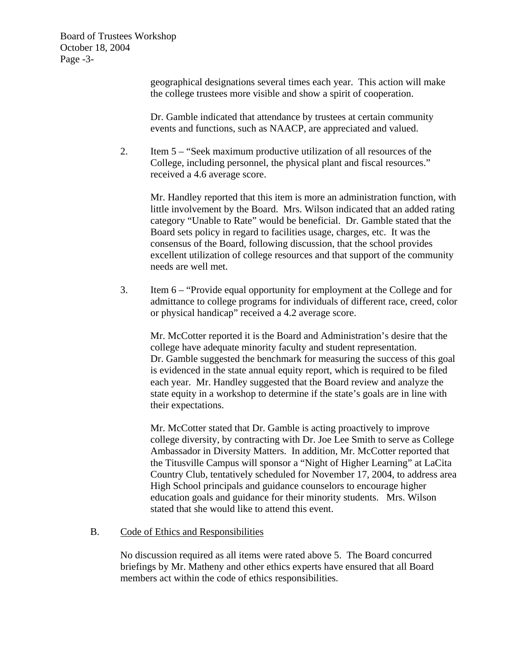Board of Trustees Workshop October 18, 2004 Page -3-

> geographical designations several times each year. This action will make the college trustees more visible and show a spirit of cooperation.

Dr. Gamble indicated that attendance by trustees at certain community events and functions, such as NAACP, are appreciated and valued.

2. Item 5 – "Seek maximum productive utilization of all resources of the College, including personnel, the physical plant and fiscal resources." received a 4.6 average score.

Mr. Handley reported that this item is more an administration function, with little involvement by the Board. Mrs. Wilson indicated that an added rating category "Unable to Rate" would be beneficial. Dr. Gamble stated that the Board sets policy in regard to facilities usage, charges, etc. It was the consensus of the Board, following discussion, that the school provides excellent utilization of college resources and that support of the community needs are well met.

3. Item 6 – "Provide equal opportunity for employment at the College and for admittance to college programs for individuals of different race, creed, color or physical handicap" received a 4.2 average score.

Mr. McCotter reported it is the Board and Administration's desire that the college have adequate minority faculty and student representation. Dr. Gamble suggested the benchmark for measuring the success of this goal is evidenced in the state annual equity report, which is required to be filed each year. Mr. Handley suggested that the Board review and analyze the state equity in a workshop to determine if the state's goals are in line with their expectations.

Mr. McCotter stated that Dr. Gamble is acting proactively to improve college diversity, by contracting with Dr. Joe Lee Smith to serve as College Ambassador in Diversity Matters. In addition, Mr. McCotter reported that the Titusville Campus will sponsor a "Night of Higher Learning" at LaCita Country Club, tentatively scheduled for November 17, 2004, to address area High School principals and guidance counselors to encourage higher education goals and guidance for their minority students. Mrs. Wilson stated that she would like to attend this event.

#### B. Code of Ethics and Responsibilities

No discussion required as all items were rated above 5. The Board concurred briefings by Mr. Matheny and other ethics experts have ensured that all Board members act within the code of ethics responsibilities.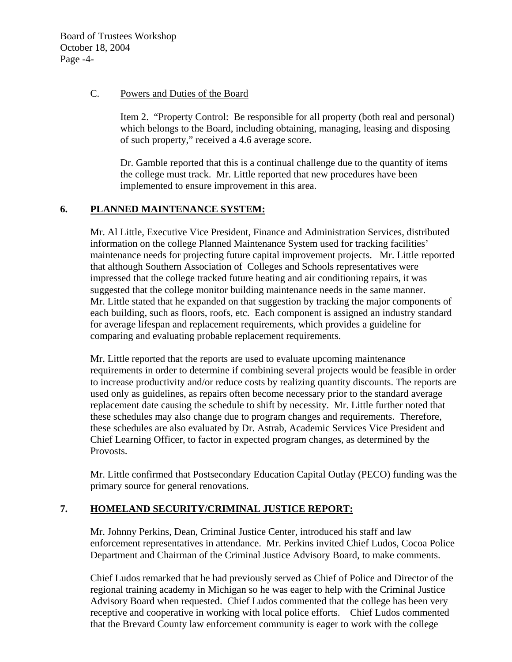Board of Trustees Workshop October 18, 2004 Page -4-

#### C. Powers and Duties of the Board

Item 2. "Property Control: Be responsible for all property (both real and personal) which belongs to the Board, including obtaining, managing, leasing and disposing of such property," received a 4.6 average score.

Dr. Gamble reported that this is a continual challenge due to the quantity of items the college must track. Mr. Little reported that new procedures have been implemented to ensure improvement in this area.

## **6. PLANNED MAINTENANCE SYSTEM:**

Mr. Al Little, Executive Vice President, Finance and Administration Services, distributed information on the college Planned Maintenance System used for tracking facilities' maintenance needs for projecting future capital improvement projects. Mr. Little reported that although Southern Association of Colleges and Schools representatives were impressed that the college tracked future heating and air conditioning repairs, it was suggested that the college monitor building maintenance needs in the same manner. Mr. Little stated that he expanded on that suggestion by tracking the major components of each building, such as floors, roofs, etc. Each component is assigned an industry standard for average lifespan and replacement requirements, which provides a guideline for comparing and evaluating probable replacement requirements.

Mr. Little reported that the reports are used to evaluate upcoming maintenance requirements in order to determine if combining several projects would be feasible in order to increase productivity and/or reduce costs by realizing quantity discounts. The reports are used only as guidelines, as repairs often become necessary prior to the standard average replacement date causing the schedule to shift by necessity. Mr. Little further noted that these schedules may also change due to program changes and requirements. Therefore, these schedules are also evaluated by Dr. Astrab, Academic Services Vice President and Chief Learning Officer, to factor in expected program changes, as determined by the Provosts.

Mr. Little confirmed that Postsecondary Education Capital Outlay (PECO) funding was the primary source for general renovations.

## **7. HOMELAND SECURITY/CRIMINAL JUSTICE REPORT:**

Mr. Johnny Perkins, Dean, Criminal Justice Center, introduced his staff and law enforcement representatives in attendance. Mr. Perkins invited Chief Ludos, Cocoa Police Department and Chairman of the Criminal Justice Advisory Board, to make comments.

Chief Ludos remarked that he had previously served as Chief of Police and Director of the regional training academy in Michigan so he was eager to help with the Criminal Justice Advisory Board when requested. Chief Ludos commented that the college has been very receptive and cooperative in working with local police efforts. Chief Ludos commented that the Brevard County law enforcement community is eager to work with the college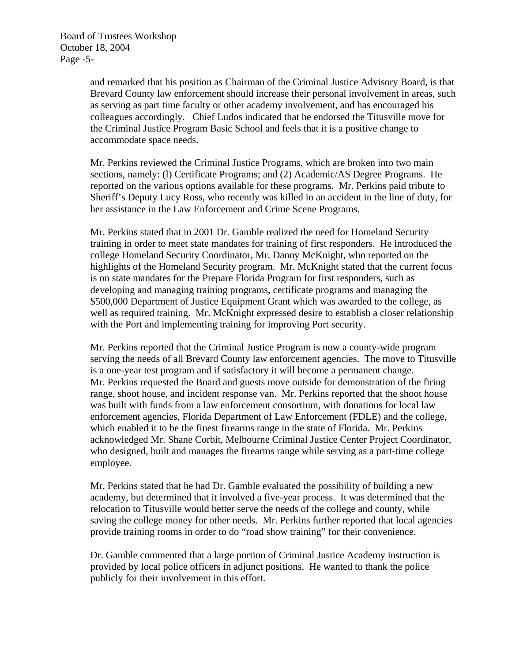Board of Trustees Workshop October 18, 2004 Page -5-

> and remarked that his position as Chairman of the Criminal Justice Advisory Board, is that Brevard County law enforcement should increase their personal involvement in areas, such as serving as part time faculty or other academy involvement, and has encouraged his colleagues accordingly. Chief Ludos indicated that he endorsed the Titusville move for the Criminal Justice Program Basic School and feels that it is a positive change to accommodate space needs.

Mr. Perkins reviewed the Criminal Justice Programs, which are broken into two main sections, namely: (l) Certificate Programs; and (2) Academic/AS Degree Programs. He reported on the various options available for these programs. Mr. Perkins paid tribute to Sheriff's Deputy Lucy Ross, who recently was killed in an accident in the line of duty, for her assistance in the Law Enforcement and Crime Scene Programs.

Mr. Perkins stated that in 2001 Dr. Gamble realized the need for Homeland Security training in order to meet state mandates for training of first responders. He introduced the college Homeland Security Coordinator, Mr. Danny McKnight, who reported on the highlights of the Homeland Security program. Mr. McKnight stated that the current focus is on state mandates for the Prepare Florida Program for first responders, such as developing and managing training programs, certificate programs and managing the \$500,000 Department of Justice Equipment Grant which was awarded to the college, as well as required training. Mr. McKnight expressed desire to establish a closer relationship with the Port and implementing training for improving Port security.

Mr. Perkins reported that the Criminal Justice Program is now a county-wide program serving the needs of all Brevard County law enforcement agencies. The move to Titusville is a one-year test program and if satisfactory it will become a permanent change. Mr. Perkins requested the Board and guests move outside for demonstration of the firing range, shoot house, and incident response van. Mr. Perkins reported that the shoot house was built with funds from a law enforcement consortium, with donations for local law enforcement agencies, Florida Department of Law Enforcement (FDLE) and the college, which enabled it to be the finest firearms range in the state of Florida. Mr. Perkins acknowledged Mr. Shane Corbit, Melbourne Criminal Justice Center Project Coordinator, who designed, built and manages the firearms range while serving as a part-time college employee.

Mr. Perkins stated that he had Dr. Gamble evaluated the possibility of building a new academy, but determined that it involved a five-year process. It was determined that the relocation to Titusville would better serve the needs of the college and county, while saving the college money for other needs. Mr. Perkins further reported that local agencies provide training rooms in order to do "road show training" for their convenience.

Dr. Gamble commented that a large portion of Criminal Justice Academy instruction is provided by local police officers in adjunct positions. He wanted to thank the police publicly for their involvement in this effort.